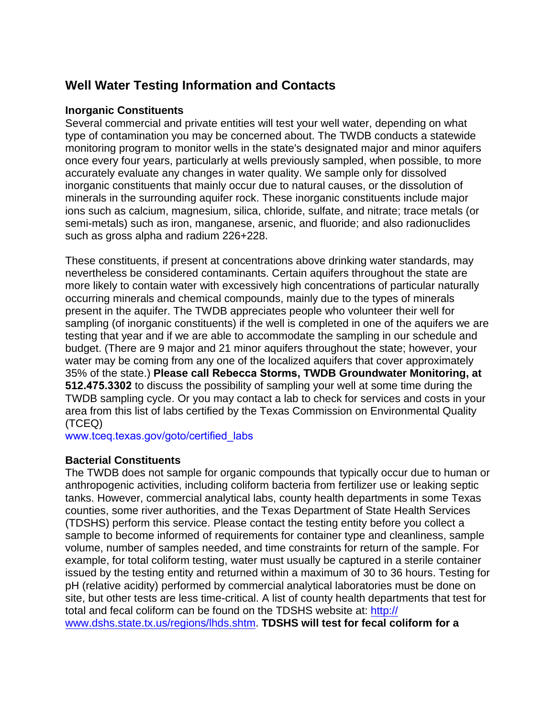# **Well Water Testing Information and Contacts**

### **Inorganic Constituents**

Several commercial and private entities will test your well water, depending on what type of contamination you may be concerned about. The TWDB conducts a statewide monitoring program to monitor wells in the state's designated major and minor aquifers once every four years, particularly at wells previously sampled, when possible, to more accurately evaluate any changes in water quality. We sample only for dissolved inorganic constituents that mainly occur due to natural causes, or the dissolution of minerals in the surrounding aquifer rock. These inorganic constituents include major ions such as calcium, magnesium, silica, chloride, sulfate, and nitrate; trace metals (or semi-metals) such as iron, manganese, arsenic, and fluoride; and also radionuclides such as gross alpha and radium 226+228.

These constituents, if present at concentrations above drinking water standards, may nevertheless be considered contaminants. Certain aquifers throughout the state are more likely to contain water with excessively high concentrations of particular naturally occurring minerals and chemical compounds, mainly due to the types of minerals present in the aquifer. The TWDB appreciates people who volunteer their well for sampling (of inorganic constituents) if the well is completed in one of the aquifers we are testing that year and if we are able to accommodate the sampling in our schedule and budget. (There are 9 major and 21 minor aquifers throughout the state; however, your water may be coming from any one of the localized aquifers that cover approximately 35% of the state.) **Please call Rebecca Storms, TWDB Groundwater Monitoring, at 512.475.3302** to discuss the possibility of sampling your well at some time during the TWDB sampling cycle. Or you may contact a lab to check for services and costs in your area from this list of labs certified by the Texas Commission on Environmental Quality (TCEQ)

[www.tceq.texas.gov/goto/certified\\_labs](https://www.tceq.texas.gov/assets/public/compliance/compliance_support/qa/txnelap_lab_list.pdf)

### **Bacterial Constituents**

The TWDB does not sample for organic compounds that typically occur due to human or anthropogenic activities, including coliform bacteria from fertilizer use or leaking septic tanks. However, commercial analytical labs, county health departments in some Texas counties, some river authorities, and the Texas Department of State Health Services (TDSHS) perform this service. Please contact the testing entity before you collect a sample to become informed of requirements for container type and cleanliness, sample volume, number of samples needed, and time constraints for return of the sample. For example, for total coliform testing, water must usually be captured in a sterile container issued by the testing entity and returned within a maximum of 30 to 36 hours. Testing for pH (relative acidity) performed by commercial analytical laboratories must be done on site, but other tests are less time-critical. A list of county health departments that test for total and fecal coliform can be found on the TDSHS website at: http:// www.dshs.state.tx.us/regions/lhds.shtm. **TDSHS will test for fecal coliform for a**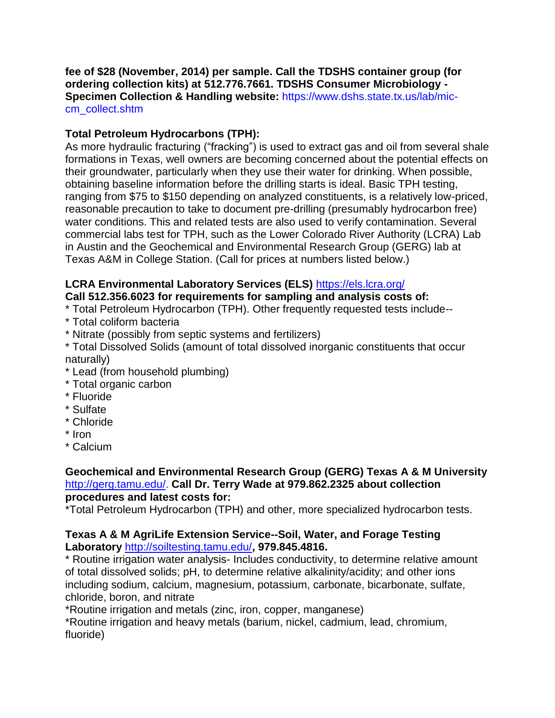**fee of \$28 (November, 2014) per sample. Call the TDSHS container group (for ordering collection kits) at 512.776.7661. TDSHS Consumer Microbiology - Specimen Collection & Handling website:** https://www.dshs.state.tx.us/lab/miccm\_collect.shtm

## **Total Petroleum Hydrocarbons (TPH):**

As more hydraulic fracturing ("fracking") is used to extract gas and oil from several shale formations in Texas, well owners are becoming concerned about the potential effects on their groundwater, particularly when they use their water for drinking. When possible, obtaining baseline information before the drilling starts is ideal. Basic TPH testing, ranging from \$75 to \$150 depending on analyzed constituents, is a relatively low-priced, reasonable precaution to take to document pre-drilling (presumably hydrocarbon free) water conditions. This and related tests are also used to verify contamination. Several commercial labs test for TPH, such as the Lower Colorado River Authority (LCRA) Lab in Austin and the Geochemical and Environmental Research Group (GERG) lab at Texas A&M in College Station. (Call for prices at numbers listed below.)

# **LCRA Environmental Laboratory Services (ELS)** <https://els.lcra.org/>

## **Call 512.356.6023 for requirements for sampling and analysis costs of:**

- \* Total Petroleum Hydrocarbon (TPH). Other frequently requested tests include--
- \* Total coliform bacteria
- \* Nitrate (possibly from septic systems and fertilizers)
- \* Total Dissolved Solids (amount of total dissolved inorganic constituents that occur naturally)
- \* Lead (from household plumbing)
- \* Total organic carbon
- \* Fluoride
- \* Sulfate
- \* Chloride
- \* Iron
- \* Calcium

### **Geochemical and Environmental Research Group (GERG) Texas A & M University**  [http://gerg.tamu.edu/.](http://gerg.tamu.edu/) **Call Dr. Terry Wade at 979.862.2325 about collection procedures and latest costs for:**

\*Total Petroleum Hydrocarbon (TPH) and other, more specialized hydrocarbon tests.

### **Texas A & M AgriLife Extension Service--Soil, Water, and Forage Testing Laboratory** <http://soiltesting.tamu.edu/>**, 979.845.4816.**

\* Routine irrigation water analysis- Includes conductivity, to determine relative amount of total dissolved solids; pH, to determine relative alkalinity/acidity; and other ions including sodium, calcium, magnesium, potassium, carbonate, bicarbonate, sulfate, chloride, boron, and nitrate

\*Routine irrigation and metals (zinc, iron, copper, manganese)

\*Routine irrigation and heavy metals (barium, nickel, cadmium, lead, chromium, fluoride)